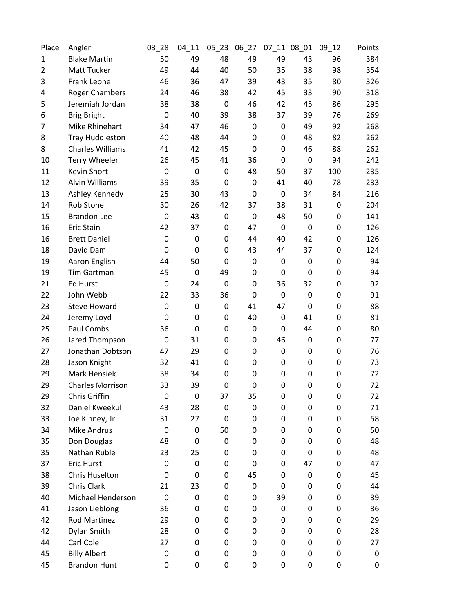| Place          | Angler                   | 03_28       | $04 - 11$   | $05 - 23$ | 06_27            |                  | 07_11 08_01      | $09 - 12$ | Points |
|----------------|--------------------------|-------------|-------------|-----------|------------------|------------------|------------------|-----------|--------|
| $\mathbf 1$    | <b>Blake Martin</b>      | 50          | 49          | 48        | 49               | 49               | 43               | 96        | 384    |
| $\overline{2}$ | Matt Tucker              | 49          | 44          | 40        | 50               | 35               | 38               | 98        | 354    |
| 3              | Frank Leone              | 46          | 36          | 47        | 39               | 43               | 35               | 80        | 326    |
| 4              | <b>Roger Chambers</b>    | 24          | 46          | 38        | 42               | 45               | 33               | 90        | 318    |
| 5              | Jeremiah Jordan          | 38          | 38          | 0         | 46               | 42               | 45               | 86        | 295    |
| 6              | <b>Brig Bright</b>       | $\mathbf 0$ | 40          | 39        | 38               | 37               | 39               | 76        | 269    |
| 7              | Mike Rhinehart           | 34          | 47          | 46        | 0                | 0                | 49               | 92        | 268    |
| 8              | <b>Tray Huddleston</b>   | 40          | 48          | 44        | 0                | 0                | 48               | 82        | 262    |
| 8              | <b>Charles Williams</b>  | 41          | 42          | 45        | $\mathbf 0$      | 0                | 46               | 88        | 262    |
| 10             | <b>Terry Wheeler</b>     | 26          | 45          | 41        | 36               | 0                | 0                | 94        | 242    |
| 11             | Kevin Short              | $\mathbf 0$ | $\mathbf 0$ | 0         | 48               | 50               | 37               | 100       | 235    |
| 12             | Alvin Williams           | 39          | 35          | 0         | 0                | 41               | 40               | 78        | 233    |
| 13             | Ashley Kennedy           | 25          | 30          | 43        | 0                | 0                | 34               | 84        | 216    |
| 14             | <b>Rob Stone</b>         | 30          | 26          | 42        | 37               | 38               | 31               | 0         | 204    |
| 15             | <b>Brandon Lee</b>       | $\mathbf 0$ | 43          | 0         | 0                | 48               | 50               | 0         | 141    |
| 16             | Eric Stain               | 42          | 37          | 0         | 47               | $\mathbf 0$      | $\boldsymbol{0}$ | 0         | 126    |
| 16             | <b>Brett Daniel</b>      | 0           | 0           | 0         | 44               | 40               | 42               | 0         | 126    |
| 18             | David Dam                | 0           | $\mathbf 0$ | 0         | 43               | 44               | 37               | 0         | 124    |
| 19             | Aaron English            | 44          | 50          | 0         | 0                | 0                | 0                | 0         | 94     |
| 19             | Tim Gartman              | 45          | $\mathbf 0$ | 49        | 0                | 0                | 0                | 0         | 94     |
| 21             | <b>Ed Hurst</b>          | $\mathbf 0$ | 24          | 0         | 0                | 36               | 32               | 0         | 92     |
| 22             | John Webb                | 22          | 33          | 36        | 0                | $\mathbf 0$      | 0                | 0         | 91     |
| 23             | <b>Steve Howard</b>      | 0           | $\mathbf 0$ | 0         | 41               | 47               | $\mathbf 0$      | 0         | 88     |
| 24             | Jeremy Loyd              | 0           | 0           | 0         | 40               | 0                | 41               | 0         | 81     |
| 25             | Paul Combs               | 36          | 0           | 0         | $\boldsymbol{0}$ | 0                | 44               | 0         | 80     |
| 26             | Jared Thompson           | 0           | 31          | 0         | 0                | 46               | 0                | 0         | 77     |
| 27             | Jonathan Dobtson         | 47          | 29          | 0         | 0                | $\boldsymbol{0}$ | 0                | 0         | 76     |
| 28             | Jason Knight             | 32          | 41          | 0         | 0                | 0                | 0                | 0         | 73     |
| 29             | Mark Hensiek             | 38          | 34          | 0         | 0                | 0                | 0                | 0         | 72     |
| 29             | <b>Charles Morrison</b>  | 33          | 39          | 0         | $\mathbf 0$      | 0                | 0                | 0         | 72     |
| 29             | Chris Griffin            | 0           | 0           | 37        | 35               | 0                | 0                | 0         | 72     |
| 32             | Daniel Kweekul           | 43          | 28          | 0         | 0                | 0                | 0                | 0         | 71     |
| 33             | Joe Kinney, Jr.          | 31          | 27          | 0         | 0                | 0                | 0                | 0         | 58     |
| 34             | Mike Andrus              | 0           | 0           | 50        | 0                | 0                | 0                | 0         | 50     |
| 35             | Don Douglas              | 48          | 0           | 0         | 0                | 0                | 0                | 0         | 48     |
| 35             | Nathan Ruble             | 23          | 25          | 0         | 0                | 0                | 0                | 0         | 48     |
| 37             | Eric Hurst               | $\Omega$    | 0           | 0         | 0                | 0                | 47               | 0         | 47     |
| 38             | <b>Chris Huselton</b>    | 0           | 0           | 0         | 45               | 0                | 0                | 0         | 45     |
| 39             | Chris Clark              | 21          | 23          | 0         | $\boldsymbol{0}$ | 0                | 0                | 0         | 44     |
| 40             | <b>Michael Henderson</b> | 0           | $\mathbf 0$ | 0         | 0                | 39               | 0                | 0         | 39     |
| 41             | Jason Lieblong           | 36          | 0           | 0         | 0                | 0                | 0                | 0         | 36     |
| 42             | Rod Martinez             | 29          | 0           | 0         | 0                | 0                | 0                | 0         | 29     |
| 42             | Dylan Smith              | 28          | 0           | 0         | 0                | 0                | 0                | 0         | 28     |
| 44             | Carl Cole                | 27          | 0           | 0         | 0                | 0                | 0                | 0         | 27     |
| 45             | <b>Billy Albert</b>      | 0           | 0           | 0         | 0                | 0                | 0                | 0         | 0      |
| 45             | <b>Brandon Hunt</b>      | 0           | 0           | 0         | 0                | 0                | 0                | 0         | 0      |